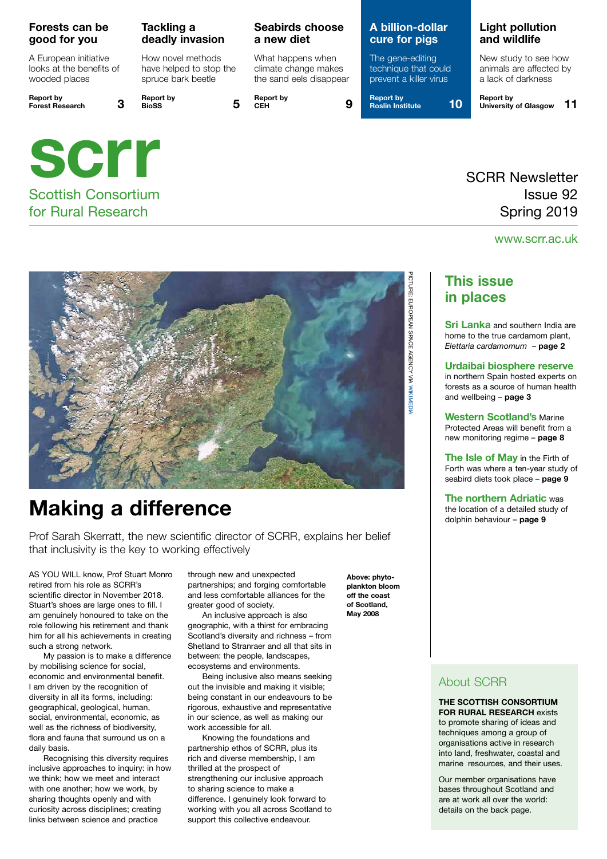#### **Forests can be good for you**

A European initiative looks at the benefits of wooded places

**Report by** 

### **Tackling a deadly invasion**

How novel methods have helped to stop the spruce bark beetle

**Forest Research 3 Report by BioSS 5**



### Scottish Consortium for Rural Research

### **Seabirds choose a new diet**

What happens when climate change makes the sand eels disappear

**Report by CEH 9**

### **A billion-dollar cure for pigs**

The gene-editing technique that could prevent a killer virus

**Report by Roslin Institute 10**

### **Light pollution and wildlife**

New study to see how animals are affected by a lack of darkness

**Report by University of Glasgow 11**

## SCRR Newsletter Issue 92 Spring 2019

### www.scrr.ac.uk



# **Making a difference**

Prof Sarah Skerratt, the new scientific director of SCRR, explains her belief that inclusivity is the key to working effectively

AS YOU WILL know, Prof Stuart Monro retired from his role as SCRR's scientific director in November 2018. Stuart's shoes are large ones to fill. I am genuinely honoured to take on the role following his retirement and thank him for all his achievements in creating such a strong network.

My passion is to make a difference by mobilising science for social, economic and environmental benefit. I am driven by the recognition of diversity in all its forms, including: geographical, geological, human, social, environmental, economic, as well as the richness of biodiversity, flora and fauna that surround us on a daily basis.

Recognising this diversity requires inclusive approaches to inquiry: in how we think; how we meet and interact with one another; how we work, by sharing thoughts openly and with curiosity across disciplines; creating links between science and practice

through new and unexpected partnerships; and forging comfortable and less comfortable alliances for the greater good of society.

An inclusive approach is also geographic, with a thirst for embracing Scotland's diversity and richness – from Shetland to Stranraer and all that sits in between: the people, landscapes, ecosystems and environments.

Being inclusive also means seeking out the invisible and making it visible; being constant in our endeavours to be rigorous, exhaustive and representative in our science, as well as making our work accessible for all.

Knowing the foundations and partnership ethos of SCRR, plus its rich and diverse membership, I am thrilled at the prospect of strengthening our inclusive approach to sharing science to make a difference. I genuinely look forward to working with you all across Scotland to support this collective endeavour.

**Above: phytoplankton bloom off the coast of Scotland, May 2008**

### **This issue in places**

**Sri Lanka** and southern India are home to the true cardamom plant, *Elettaria cardamomum* – **page 2**

#### **Urdaibai biosphere reserve**

in northern Spain hosted experts on forests as a source of human health and wellbeing – **page 3**

**Western Scotland's** Marine Protected Areas will benefit from a new monitoring regime – **page 8**

**The Isle of May** in the Firth of Forth was where a ten-year study of seabird diets took place – **page 9**

**The northern Adriatic** was the location of a detailed study of dolphin behaviour – **page 9**

### About SCRR

**THE SCOTTISH CONSORTIUM FOR RURAL RESEARCH** exists to promote sharing of ideas and techniques among a group of organisations active in research into land, freshwater, coastal and marine resources, and their uses.

Our member organisations have bases throughout Scotland and are at work all over the world: details on the back page.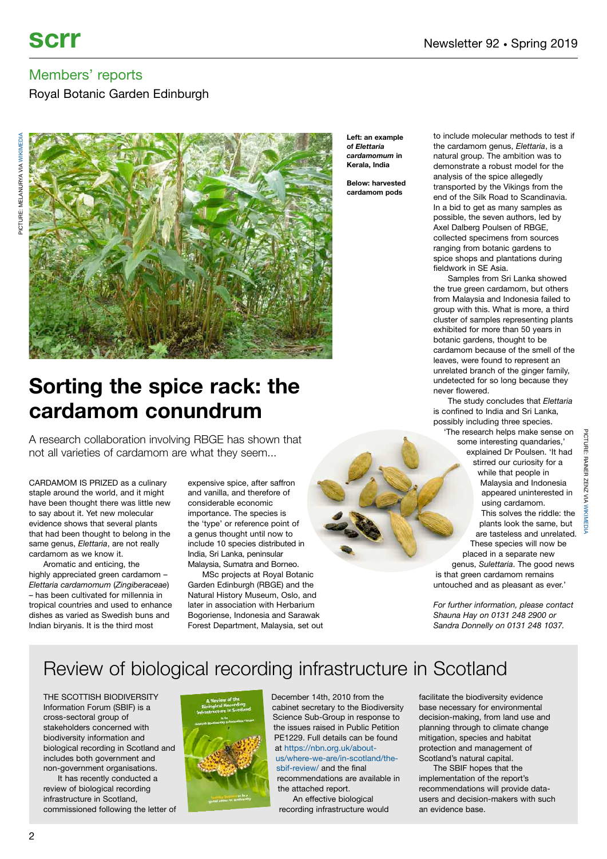Royal Botanic Garden Edinburgh



**Left: an example of** *Elettaria cardamomum* **in Kerala, India**

**Below: harvested cardamom pods**

to include molecular methods to test if the cardamom genus, *Elettaria*, is a natural group. The ambition was to demonstrate a robust model for the analysis of the spice allegedly transported by the Vikings from the end of the Silk Road to Scandinavia. In a bid to get as many samples as possible, the seven authors, led by Axel Dalberg Poulsen of RBGE, collected specimens from sources ranging from botanic gardens to spice shops and plantations during fieldwork in SE Asia.

Samples from Sri Lanka showed the true green cardamom, but others from Malaysia and Indonesia failed to group with this. What is more, a third cluster of samples representing plants exhibited for more than 50 years in botanic gardens, thought to be cardamom because of the smell of the leaves, were found to represent an unrelated branch of the ginger family, undetected for so long because they never flowered.

The study concludes that *Elettaria* is confined to India and Sri Lanka, possibly including three species.

'The research helps make sense on some interesting quandaries,' explained Dr Poulsen. 'It had stirred our curiosity for a while that people in Malaysia and Indonesia appeared uninterested in using cardamom. This solves the riddle: the plants look the same, but are tasteless and unrelated. These species will now be placed in a separate new genus, *Sulettaria*. The good news is that green cardamom remains untouched and as pleasant as ever.'

*For further information, please contact*

# **Sorting the spice rack: the cardamom conundrum**

A research collaboration involving RBGE has shown that not all varieties of cardamom are what they seem...

CARDAMOM IS PRIZED as a culinary staple around the world, and it might have been thought there was little new to say about it. Yet new molecular evidence shows that several plants that had been thought to belong in the same genus, *Elettaria*, are not really cardamom as we know it.

Aromatic and enticing, the highly appreciated green cardamom – *Elettaria cardamomum* (*Zingiberaceae*) – has been cultivated for millennia in tropical countries and used to enhance dishes as varied as Swedish buns and Indian biryanis. It is the third most

expensive spice, after saffron and vanilla, and therefore of considerable economic importance. The species is the 'type' or reference point of a genus thought until now to include 10 species distributed in India, Sri Lanka, peninsular Malaysia, Sumatra and Borneo.

MSc projects at Royal Botanic Garden Edinburgh (RBGE) and the Natural History Museum, Oslo, and later in association with Herbarium Bogoriense, Indonesia and Sarawak Forest Department, Malaysia, set out

*Shauna Hay on 0131 248 2900 or Sandra Donnelly on 0131 248 1037.*

# Review of biological recording infrastructure in Scotland

THE SCOTTISH BIODIVERSITY Information Forum (SBIF) is a cross-sectoral group of stakeholders concerned with biodiversity information and biological recording in Scotland and includes both government and non-government organisations.

It has recently conducted a review of biological recording infrastructure in Scotland, commissioned following the letter of



December 14th, 2010 from the cabinet secretary to the Biodiversity Science Sub-Group in response to the issues raised in Public Petition PE1229. Full details can be found at [https://nbn.org.uk/about](https://nbn.org.uk/about-us/where-we-are/in-scotland/the-sbif-review/%20)[us/where-we-are/in-scotland/the](https://nbn.org.uk/about-us/where-we-are/in-scotland/the-sbif-review/%20)[sbif-review/](https://nbn.org.uk/about-us/where-we-are/in-scotland/the-sbif-review/%20) and the final

recommendations are available in the attached report.

An effective biological recording infrastructure would facilitate the biodiversity evidence base necessary for environmental decision-making, from land use and planning through to climate change mitigation, species and habitat protection and management of Scotland's natural capital.

The SBIF hopes that the implementation of the report's recommendations will provide datausers and decision-makers with such an evidence base.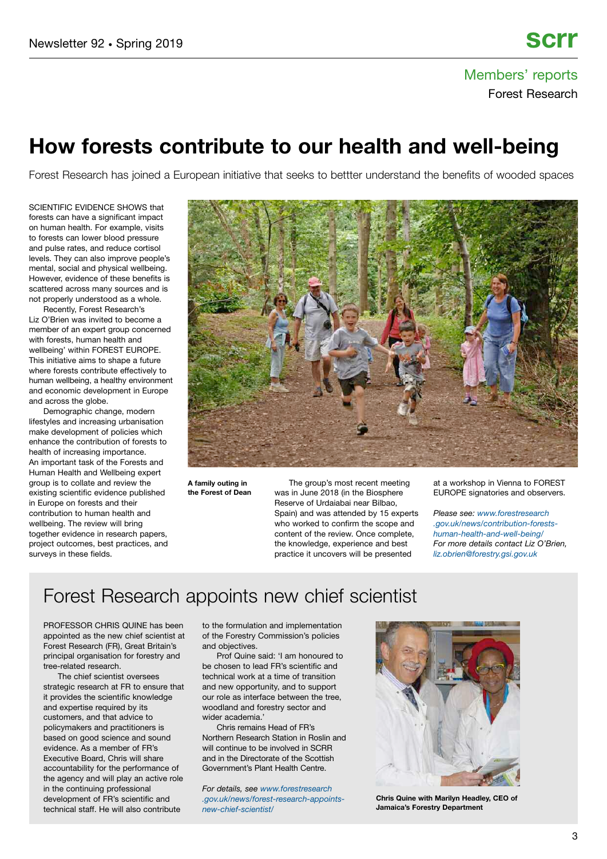# Members' reports Forest Research

# **How forests contribute to our health and well-being**

Forest Research has joined a European initiative that seeks to bettter understand the benefits of wooded spaces

SCIENTIFIC EVIDENCE SHOWS that forests can have a significant impact on human health. For example, visits to forests can lower blood pressure and pulse rates, and reduce cortisol levels. They can also improve people's mental, social and physical wellbeing. However, evidence of these benefits is scattered across many sources and is not properly understood as a whole.

Recently, Forest Research's Liz O'Brien was invited to become a member of an expert group concerned with forests, human health and wellbeing' within FOREST EUROPE. This initiative aims to shape a future where forests contribute effectively to human wellbeing, a healthy environment and economic development in Europe and across the globe.

Demographic change, modern lifestyles and increasing urbanisation make development of policies which enhance the contribution of forests to health of increasing importance. An important task of the Forests and Human Health and Wellbeing expert group is to collate and review the existing scientific evidence published in Europe on forests and their contribution to human health and wellbeing. The review will bring together evidence in research papers, project outcomes, best practices, and surveys in these fields.



**A family outing in the Forest of Dean**

The group's most recent meeting was in June 2018 (in the Biosphere Reserve of Urdaiabai near Bilbao, Spain) and was attended by 15 experts who worked to confirm the scope and content of the review. Once complete, the knowledge, experience and best practice it uncovers will be presented

at a workshop in Vienna to FOREST EUROPE signatories and observers.

*Please see: [www.forestresearch](https://www.forestresearch.gov.uk/news/contribution-forests-human-health-and-well-being/) [.gov.uk/news/contribution-forests](https://www.forestresearch.gov.uk/news/contribution-forests-human-health-and-well-being/)[human-health-and-well-being/](https://www.forestresearch.gov.uk/news/contribution-forests-human-health-and-well-being/) For more details contact Liz O'Brien, [liz.obrien@forestry.gsi.gov.uk](mailto:liz.obrien@forestry.gsi.gov.uk)*

# Forest Research appoints new chief scientist

PROFESSOR CHRIS QUINE has been appointed as the new chief scientist at Forest Research (FR), Great Britain's principal organisation for forestry and tree-related research.

The chief scientist oversees strategic research at FR to ensure that it provides the scientific knowledge and expertise required by its customers, and that advice to policymakers and practitioners is based on good science and sound evidence. As a member of FR's Executive Board, Chris will share accountability for the performance of the agency and will play an active role in the continuing professional development of FR's scientific and technical staff. He will also contribute

to the formulation and implementation of the Forestry Commission's policies and objectives.

Prof Quine said: 'I am honoured to be chosen to lead FR's scientific and technical work at a time of transition and new opportunity, and to support our role as interface between the tree, woodland and forestry sector and wider academia.'

Chris remains Head of FR's Northern Research Station in Roslin and will continue to be involved in SCRR and in the Directorate of the Scottish Government's Plant Health Centre.

*For details, see [www.forestresearch](https://www.forestresearch.gov.uk/news/forest-research-appoints-new-chief-scientist/) [.gov.uk/news/forest-research-appoints](https://www.forestresearch.gov.uk/news/forest-research-appoints-new-chief-scientist/)[new-chief-scientist](https://www.forestresearch.gov.uk/news/forest-research-appoints-new-chief-scientist/)*/



**Chris Quine with Marilyn Headley, CEO of Jamaica's Forestry Department**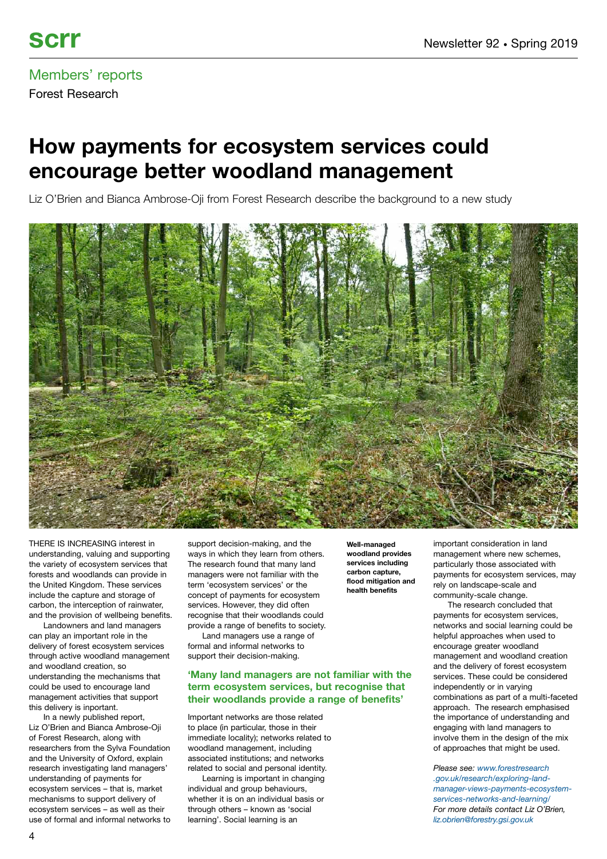## Members' reports Forest Research

# **How payments for ecosystem services could encourage better woodland management**

Liz O'Brien and Bianca Ambrose-Oji from Forest Research describe the background to a new study



THERE IS INCREASING interest in understanding, valuing and supporting the variety of ecosystem services that forests and woodlands can provide in the United Kingdom. These services include the capture and storage of carbon, the interception of rainwater, and the provision of wellbeing benefits.

Landowners and land managers can play an important role in the delivery of forest ecosystem services through active woodland management and woodland creation, so understanding the mechanisms that could be used to encourage land management activities that support this delivery is inportant.

In a newly published report, Liz O'Brien and Bianca Ambrose-Oji of Forest Research, along with researchers from the Sylva Foundation and the University of Oxford, explain research investigating land managers' understanding of payments for ecosystem services – that is, market mechanisms to support delivery of ecosystem services – as well as their use of formal and informal networks to support decision-making, and the ways in which they learn from others. The research found that many land managers were not familiar with the term 'ecosystem services' or the concept of payments for ecosystem services. However, they did often recognise that their woodlands could provide a range of benefits to society.

Land managers use a range of formal and informal networks to support their decision-making.

#### **'Many land managers are not familiar with the term ecosystem services, but recognise that their woodlands provide a range of benefits'**

Important networks are those related to place (in particular, those in their immediate locality); networks related to woodland management, including associated institutions; and networks related to social and personal identity.

Learning is important in changing individual and group behaviours, whether it is on an individual basis or through others – known as 'social learning'. Social learning is an

**Well-managed woodland provides services including carbon capture, flood mitigation and health benefits**

important consideration in land management where new schemes, particularly those associated with payments for ecosystem services, may rely on landscape-scale and community-scale change.

The research concluded that payments for ecosystem services, networks and social learning could be helpful approaches when used to encourage greater woodland management and woodland creation and the delivery of forest ecosystem services. These could be considered independently or in varying combinations as part of a multi-faceted approach. The research emphasised the importance of understanding and engaging with land managers to involve them in the design of the mix of approaches that might be used.

*Please see: [www.forestresearch](https://www.forestresearch.gov.uk/research/exploring-land-manager-views-payments-ecosystem-services-networks-and-learning/) [.gov.uk/research/exploring-land](https://www.forestresearch.gov.uk/research/exploring-land-manager-views-payments-ecosystem-services-networks-and-learning/)[manager-views-payments-ecosystem](https://www.forestresearch.gov.uk/research/exploring-land-manager-views-payments-ecosystem-services-networks-and-learning/)[services-networks-and-learning/](https://www.forestresearch.gov.uk/research/exploring-land-manager-views-payments-ecosystem-services-networks-and-learning/) For more details contact Liz O'Brien, [liz.obrien@forestry.gsi.gov.uk](mailto:liz.obrien@forestry.gsi.gov.uk)*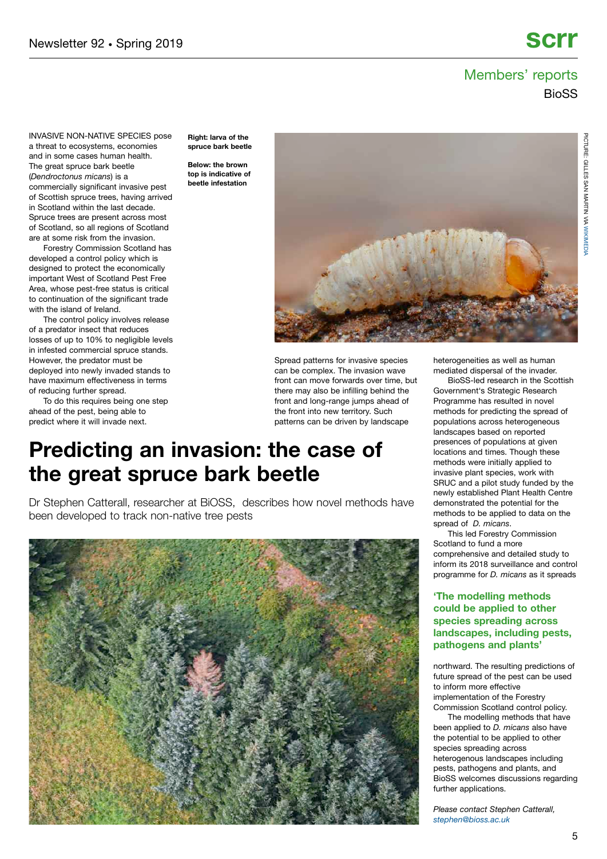## Members' reports **BioSS**

INVASIVE NON-NATIVE SPECIES pose a threat to ecosystems, economies and in some cases human health. The great spruce bark beetle (*Dendroctonus micans*) is a commercially significant invasive pest of Scottish spruce trees, having arrived in Scotland within the last decade. Spruce trees are present across most of Scotland, so all regions of Scotland are at some risk from the invasion.

Forestry Commission Scotland has developed a control policy which is designed to protect the economically important West of Scotland Pest Free Area, whose pest-free status is critical to continuation of the significant trade with the island of Ireland.

The control policy involves release of a predator insect that reduces losses of up to 10% to negligible levels in infested commercial spruce stands. However, the predator must be deployed into newly invaded stands to have maximum effectiveness in terms of reducing further spread.

To do this requires being one step ahead of the pest, being able to predict where it will invade next.

**Right: larva of the spruce bark beetle**

**Below: the brown top is indicative of beetle infestation**



Spread patterns for invasive species can be complex. The invasion wave front can move forwards over time, but there may also be infilling behind the front and long-range jumps ahead of the front into new territory. Such patterns can be driven by landscape

# **Predicting an invasion: the case of the great spruce bark beetle**

Dr Stephen Catterall, researcher at BiOSS, describes how novel methods have been developed to track non-native tree pests



heterogeneities as well as human mediated dispersal of the invader.

BioSS-led research in the Scottish Government's Strategic Research Programme has resulted in novel methods for predicting the spread of populations across heterogeneous landscapes based on reported presences of populations at given locations and times. Though these methods were initially applied to invasive plant species, work with SRUC and a pilot study funded by the newly established Plant Health Centre demonstrated the potential for the methods to be applied to data on the spread of *D. micans*.

This led Forestry Commission Scotland to fund a more comprehensive and detailed study to inform its 2018 surveillance and control programme for *D. micans* as it spreads

#### **'The modelling methods could be applied to other species spreading across landscapes, including pests, pathogens and plants'**

northward. The resulting predictions of future spread of the pest can be used to inform more effective implementation of the Forestry Commission Scotland control policy.

The modelling methods that have been applied to *D. micans* also have the potential to be applied to other species spreading across heterogenous landscapes including pests, pathogens and plants, and BioSS welcomes discussions regarding further applications.

*Please contact Stephen Catterall, [stephen@bioss.ac.uk](mailto:stephen@bioss.ac.uk)*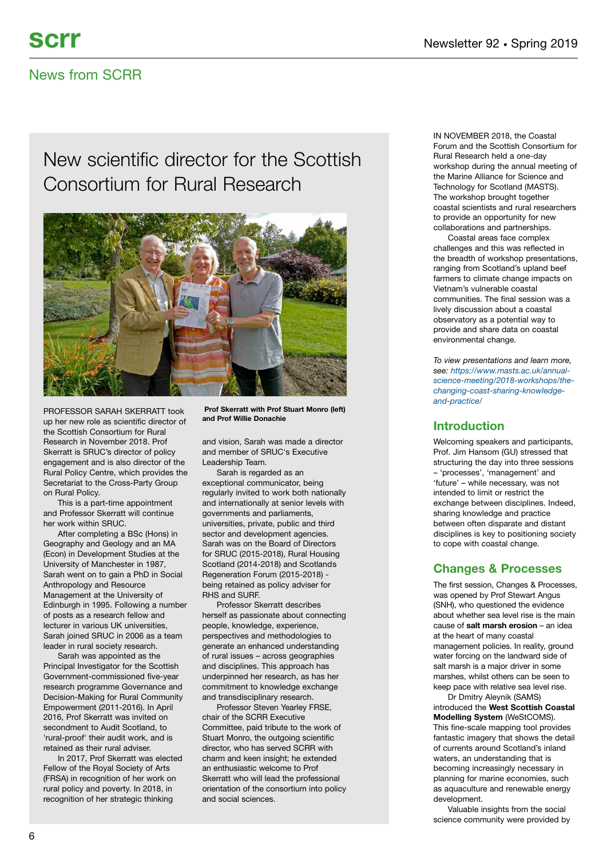## News from SCRR

# New scientific director for the Scottish Consortium for Rural Research



PROFESSOR SARAH SKERRATT took up her new role as scientific director of the Scottish Consortium for Rural Research in November 2018. Prof Skerratt is SRUC's director of policy engagement and is also director of the Rural Policy Centre, which provides the Secretariat to the Cross-Party Group on Rural Policy.

This is a part-time appointment and Professor Skerratt will continue her work within SRUC.

After completing a BSc (Hons) in Geography and Geology and an MA (Econ) in Development Studies at the University of Manchester in 1987, Sarah went on to gain a PhD in Social Anthropology and Resource Management at the University of Edinburgh in 1995. Following a number of posts as a research fellow and lecturer in various UK universities, Sarah joined SRUC in 2006 as a team leader in rural society research.

Sarah was appointed as the Principal Investigator for the Scottish Government-commissioned five-year research programme Governance and Decision-Making for Rural Community Empowerment (2011-2016). In April 2016, Prof Skerratt was invited on secondment to Audit Scotland, to 'rural-proof' their audit work, and is retained as their rural adviser.

In 2017, Prof Skerratt was elected Fellow of the Royal Society of Arts (FRSA) in recognition of her work on rural policy and poverty. In 2018, in recognition of her strategic thinking

**Prof Skerratt with Prof Stuart Monro (left) and Prof Willie Donachie**

and vision, Sarah was made a director and member of SRUC's Executive Leadership Team.

Sarah is regarded as an exceptional communicator, being regularly invited to work both nationally and internationally at senior levels with governments and parliaments, universities, private, public and third sector and development agencies. Sarah was on the Board of Directors for SRUC (2015-2018), Rural Housing Scotland (2014-2018) and Scotlands Regeneration Forum (2015-2018) being retained as policy adviser for RHS and SURF.

Professor Skerratt describes herself as passionate about connecting people, knowledge, experience, perspectives and methodologies to generate an enhanced understanding of rural issues – across geographies and disciplines. This approach has underpinned her research, as has her commitment to knowledge exchange and transdisciplinary research.

Professor Steven Yearley FRSE, chair of the SCRR Executive Committee, paid tribute to the work of Stuart Monro, the outgoing scientific director, who has served SCRR with charm and keen insight; he extended an enthusiastic welcome to Prof Skerratt who will lead the professional orientation of the consortium into policy and social sciences.

IN NOVEMBER 2018, the Coastal Forum and the Scottish Consortium for Rural Research held a one-day workshop during the annual meeting of the Marine Alliance for Science and Technology for Scotland (MASTS). The workshop brought together coastal scientists and rural researchers to provide an opportunity for new collaborations and partnerships.

Coastal areas face complex challenges and this was reflected in the breadth of workshop presentations, ranging from Scotland's upland beef farmers to climate change impacts on Vietnam's vulnerable coastal communities. The final session was a lively discussion about a coastal observatory as a potential way to provide and share data on coastal environmental change.

*To view presentations and learn more, see: [https://www.masts.ac.uk/annual](https://www.masts.ac.uk/annual-science-meeting/2018-workshops/the-changing-coast-sharing-knowledge-and-practice/)[science-meeting/2018-workshops/the](https://www.masts.ac.uk/annual-science-meeting/2018-workshops/the-changing-coast-sharing-knowledge-and-practice/)[changing-coast-sharing-knowledge](https://www.masts.ac.uk/annual-science-meeting/2018-workshops/the-changing-coast-sharing-knowledge-and-practice/)[and-practice/](https://www.masts.ac.uk/annual-science-meeting/2018-workshops/the-changing-coast-sharing-knowledge-and-practice/)*

### **Introduction**

Welcoming speakers and participants, Prof. Jim Hansom (GU) stressed that structuring the day into three sessions – 'processes', 'management' and 'future' – while necessary, was not intended to limit or restrict the exchange between disciplines. Indeed, sharing knowledge and practice between often disparate and distant disciplines is key to positioning society to cope with coastal change.

### **Changes & Processes**

The first session, Changes & Processes, was opened by Prof Stewart Angus (SNH), who questioned the evidence about whether sea level rise is the main cause of **salt marsh erosion** – an idea at the heart of many coastal management policies. In reality, ground water forcing on the landward side of salt marsh is a major driver in some marshes, whilst others can be seen to keep pace with relative sea level rise.

Dr Dmitry Aleynik (SAMS) introduced the **West Scottish Coastal Modelling System** (WeStCOMS). This fine-scale mapping tool provides fantastic imagery that shows the detail of currents around Scotland's inland waters, an understanding that is becoming increasingly necessary in planning for marine economies, such as aquaculture and renewable energy development.

Valuable insights from the social science community were provided by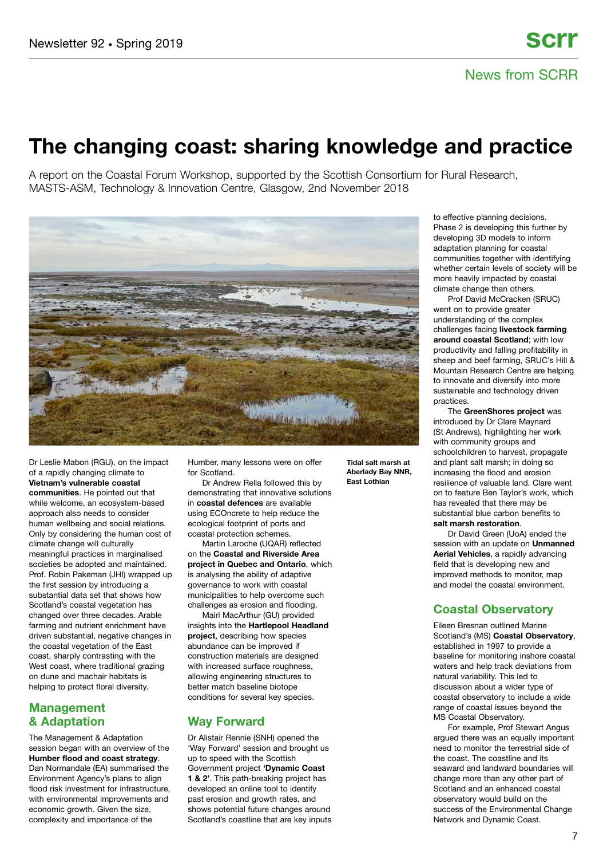# **The changing coast: sharing knowledge and practice**

A report on the Coastal Forum Workshop, supported by the Scottish Consortium for Rural Research, MASTS-ASM, Technology & Innovation Centre, Glasgow, 2nd November 2018



Dr Leslie Mabon (RGU), on the impact of a rapidly changing climate to **Vietnam's vulnerable coastal communities**. He pointed out that while welcome, an ecosystem-based approach also needs to consider human wellbeing and social relations. Only by considering the human cost of climate change will culturally meaningful practices in marginalised societies be adopted and maintained. Prof. Robin Pakeman (JHI) wrapped up the first session by introducing a substantial data set that shows how Scotland's coastal vegetation has changed over three decades. Arable farming and nutrient enrichment have driven substantial, negative changes in the coastal vegetation of the East coast, sharply contrasting with the West coast, where traditional grazing on dune and machair habitats is helping to protect floral diversity.

### **Management & Adaptation**

The Management & Adaptation session began with an overview of the **Humber flood and coast strategy**. Dan Normandale (EA) summarised the Environment Agency's plans to align flood risk investment for infrastructure, with environmental improvements and economic growth. Given the size, complexity and importance of the

Humber, many lessons were on offer for Scotland.

Dr Andrew Rella followed this by demonstrating that innovative solutions in **coastal defences** are available using ECOncrete to help reduce the ecological footprint of ports and coastal protection schemes.

Martin Laroche (UQAR) reflected on the **Coastal and Riverside Area project in Quebec and Ontario**, which is analysing the ability of adaptive governance to work with coastal municipalities to help overcome such challenges as erosion and flooding.

Mairi MacArthur (GU) provided insights into the **Hartlepool Headland project**, describing how species abundance can be improved if construction materials are designed with increased surface roughness, allowing engineering structures to better match baseline biotope conditions for several key species.

### **Way Forward**

Dr Alistair Rennie (SNH) opened the 'Way Forward' session and brought us up to speed with the Scottish Government project **'Dynamic Coast 1 & 2'**. This path-breaking project has developed an online tool to identify past erosion and growth rates, and shows potential future changes around Scotland's coastline that are key inputs **Tidal salt marsh at Aberlady Bay NNR, East Lothian**

to effective planning decisions. Phase 2 is developing this further by developing 3D models to inform adaptation planning for coastal communities together with identifying whether certain levels of society will be more heavily impacted by coastal climate change than others.

Prof David McCracken (SRUC) went on to provide greater understanding of the complex challenges facing **livestock farming around coastal Scotland**; with low productivity and falling profitability in sheep and beef farming, SRUC's Hill & Mountain Research Centre are helping to innovate and diversify into more sustainable and technology driven practices.

The **GreenShores project** was introduced by Dr Clare Maynard (St Andrews), highlighting her work with community groups and schoolchildren to harvest, propagate and plant salt marsh; in doing so increasing the flood and erosion resilience of valuable land. Clare went on to feature Ben Taylor's work, which has revealed that there may be substantial blue carbon benefits to **salt marsh restoration**.

Dr David Green (UoA) ended the session with an update on **Unmanned Aerial Vehicles**, a rapidly advancing field that is developing new and improved methods to monitor, map and model the coastal environment.

### **Coastal Observatory**

Eileen Bresnan outlined Marine Scotland's (MS) **Coastal Observatory**, established in 1997 to provide a baseline for monitoring inshore coastal waters and help track deviations from natural variability. This led to discussion about a wider type of coastal observatory to include a wide range of coastal issues beyond the MS Coastal Observatory.

For example, Prof Stewart Angus argued there was an equally important need to monitor the terrestrial side of the coast. The coastline and its seaward and landward boundaries will change more than any other part of Scotland and an enhanced coastal observatory would build on the success of the Environmental Change Network and Dynamic Coast.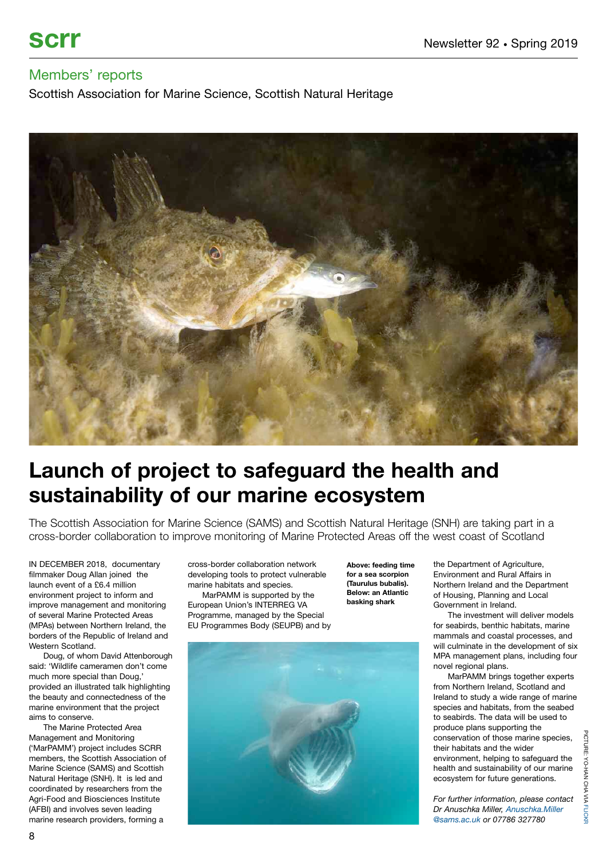Scottish Association for Marine Science, Scottish Natural Heritage



# **Launch of project to safeguard the health and sustainability of our marine ecosystem**

The Scottish Association for Marine Science (SAMS) and Scottish Natural Heritage (SNH) are taking part in a cross-border collaboration to improve monitoring of Marine Protected Areas off the west coast of Scotland

IN DECEMBER 2018, documentary filmmaker Doug Allan joined the launch event of a £6.4 million environment project to inform and improve management and monitoring of several Marine Protected Areas (MPAs) between Northern Ireland, the borders of the Republic of Ireland and Western Scotland.

Doug, of whom David Attenborough said: 'Wildlife cameramen don't come much more special than Doug,' provided an illustrated talk highlighting the beauty and connectedness of the marine environment that the project aims to conserve.

The Marine Protected Area Management and Monitoring ('MarPAMM') project includes SCRR members, the Scottish Association of Marine Science (SAMS) and Scottish Natural Heritage (SNH). It is led and coordinated by researchers from the Agri-Food and Biosciences Institute (AFBI) and involves seven leading marine research providers, forming a

cross-border collaboration network developing tools to protect vulnerable marine habitats and species.

MarPAMM is supported by the European Union's INTERREG VA Programme, managed by the Special EU Programmes Body (SEUPB) and by

**Above: feeding time for a sea scorpion (Taurulus bubalis). Below: an Atlantic basking shark**



the Department of Agriculture, Environment and Rural Affairs in Northern Ireland and the Department of Housing, Planning and Local Government in Ireland.

The investment will deliver models for seabirds, benthic habitats, marine mammals and coastal processes, and will culminate in the development of six MPA management plans, including four novel regional plans.

MarPAMM brings together experts from Northern Ireland, Scotland and Ireland to study a wide range of marine species and habitats, from the seabed to seabirds. The data will be used to produce plans supporting the conservation of those marine species, their habitats and the wider environment, helping to safeguard the health and sustainability of our marine ecosystem for future generations.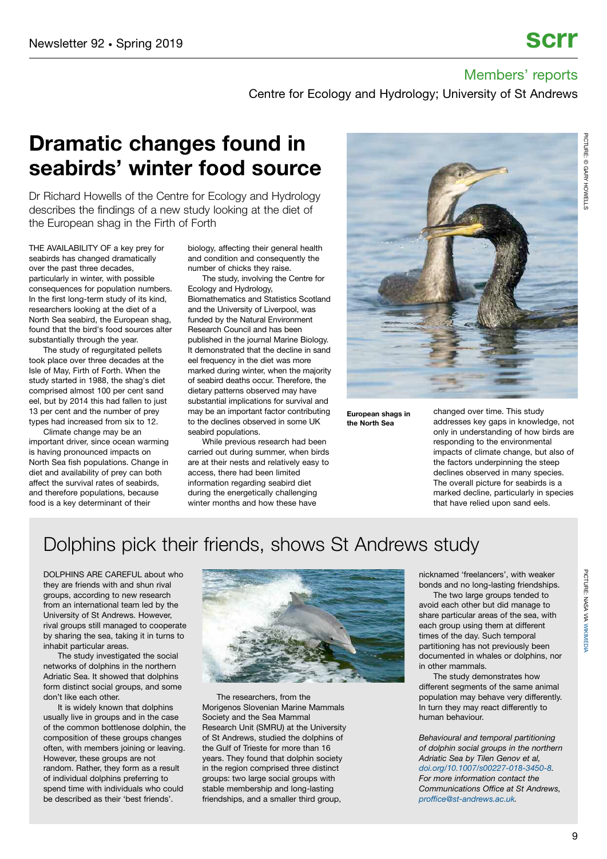Centre for Ecology and Hydrology; University of St Andrews

# **Dramatic changes found in seabirds' winter food source**

Dr Richard Howells of the Centre for Ecology and Hydrology describes the findings of a new study looking at the diet of the European shag in the Firth of Forth

THE AVAILABILITY OF a key prey for seabirds has changed dramatically over the past three decades, particularly in winter, with possible consequences for population numbers. In the first long-term study of its kind, researchers looking at the diet of a North Sea seabird, the European shag, found that the bird's food sources alter substantially through the year.

The study of regurgitated pellets took place over three decades at the Isle of May, Firth of Forth. When the study started in 1988, the shag's diet comprised almost 100 per cent sand eel, but by 2014 this had fallen to just 13 per cent and the number of prey types had increased from six to 12.

Climate change may be an important driver, since ocean warming is having pronounced impacts on North Sea fish populations. Change in diet and availability of prey can both affect the survival rates of seabirds, and therefore populations, because food is a key determinant of their

biology, affecting their general health and condition and consequently the number of chicks they raise.

The study, involving the Centre for Ecology and Hydrology,

Biomathematics and Statistics Scotland and the University of Liverpool, was funded by the Natural Environment Research Council and has been published in the journal Marine Biology. It demonstrated that the decline in sand eel frequency in the diet was more marked during winter, when the majority of seabird deaths occur. Therefore, the dietary patterns observed may have substantial implications for survival and may be an important factor contributing to the declines observed in some UK seabird populations.

While previous research had been carried out during summer, when birds are at their nests and relatively easy to access, there had been limited information regarding seabird diet during the energetically challenging winter months and how these have



**European shags in the North Sea**

changed over time. This study addresses key gaps in knowledge, not only in understanding of how birds are responding to the environmental impacts of climate change, but also of the factors underpinning the steep declines observed in many species. The overall picture for seabirds is a marked decline, particularly in species that have relied upon sand eels.

# Dolphins pick their friends, shows St Andrews study

DOLPHINS ARE CAREFUL about who they are friends with and shun rival groups, according to new research from an international team led by the University of St Andrews. However, rival groups still managed to cooperate by sharing the sea, taking it in turns to inhabit particular areas.

The study investigated the social networks of dolphins in the northern Adriatic Sea. It showed that dolphins form distinct social groups, and some don't like each other.

It is widely known that dolphins usually live in groups and in the case of the common bottlenose dolphin, the composition of these groups changes often, with members joining or leaving. However, these groups are not random. Rather, they form as a result of individual dolphins preferring to spend time with individuals who could be described as their 'best friends'.



The researchers, from the Morigenos Slovenian Marine Mammals Society and the Sea Mammal Research Unit (SMRU) at the University of St Andrews, studied the dolphins of the Gulf of Trieste for more than 16 years. They found that dolphin society in the region comprised three distinct groups: two large social groups with stable membership and long-lasting friendships, and a smaller third group,

nicknamed 'freelancers', with weaker bonds and no long-lasting friendships.

The two large groups tended to avoid each other but did manage to share particular areas of the sea, with each group using them at different times of the day. Such temporal partitioning has not previously been documented in whales or dolphins, nor in other mammals.

The study demonstrates how different segments of the same animal population may behave very differently. In turn they may react differently to human behaviour.

*Behavioural and temporal partitioning of dolphin social groups in the northern Adriatic Sea by Tilen Genov et al, [doi.org/10.1007/s00227-018-3450-8.](https://doi.org/10.1007/s00227-018-3450-8) For more information contact the Communications Office at St Andrews, [proffice@st-andrews.ac.uk.](mailto:proffice@st-andrews.ac.uk)*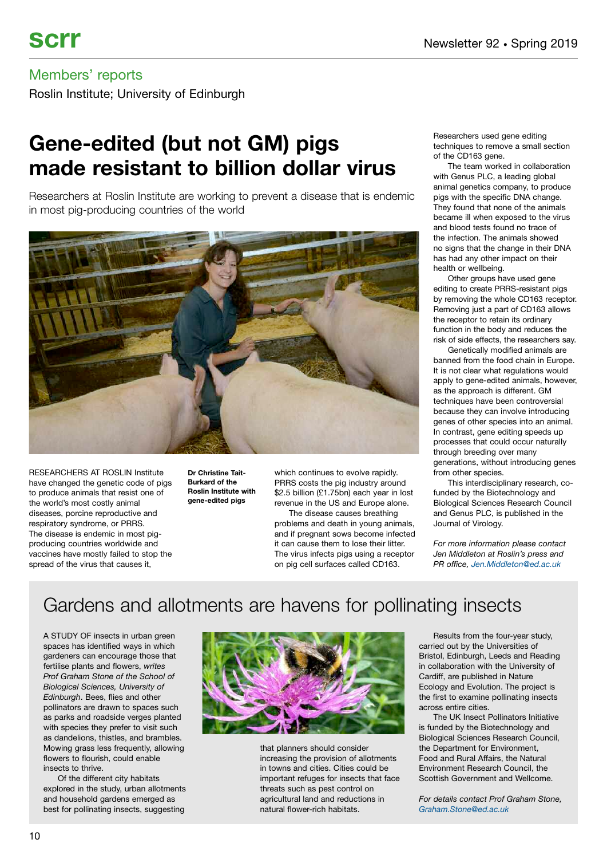Roslin Institute; University of Edinburgh

# **Gene-edited (but not GM) pigs made resistant to billion dollar virus**

Researchers at Roslin Institute are working to prevent a disease that is endemic in most pig-producing countries of the world



RESEARCHERS AT ROSLIN Institute have changed the genetic code of pigs to produce animals that resist one of the world's most costly animal diseases, porcine reproductive and respiratory syndrome, or PRRS. The disease is endemic in most pigproducing countries worldwide and vaccines have mostly failed to stop the spread of the virus that causes it,

**Dr Christine Tait-Burkard of the Roslin Institute with gene-edited pigs**

which continues to evolve rapidly. PRRS costs the pig industry around \$2.5 billion (£1.75bn) each year in lost revenue in the US and Europe alone.

The disease causes breathing problems and death in young animals, and if pregnant sows become infected it can cause them to lose their litter. The virus infects pigs using a receptor on pig cell surfaces called CD163.

Researchers used gene editing techniques to remove a small section of the CD163 gene.

The team worked in collaboration with Genus PLC, a leading global animal genetics company, to produce pigs with the specific DNA change. They found that none of the animals became ill when exposed to the virus and blood tests found no trace of the infection. The animals showed no signs that the change in their DNA has had any other impact on their health or wellbeing.

Other groups have used gene editing to create PRRS-resistant pigs by removing the whole CD163 receptor. Removing just a part of CD163 allows the receptor to retain its ordinary function in the body and reduces the risk of side effects, the researchers say.

Genetically modified animals are banned from the food chain in Europe. It is not clear what regulations would apply to gene-edited animals, however, as the approach is different. GM techniques have been controversial because they can involve introducing genes of other species into an animal. In contrast, gene editing speeds up processes that could occur naturally through breeding over many generations, without introducing genes from other species.

This interdisciplinary research, cofunded by the Biotechnology and Biological Sciences Research Council and Genus PLC, is published in the Journal of Virology.

*For more information please contact Jen Middleton at Roslin's press and PR office, [Jen.Middleton@ed.ac.uk](mailto:Jen.Middleton@ed.ac.uk)*

# Gardens and allotments are havens for pollinating insects

A STUDY OF insects in urban green spaces has identified ways in which gardeners can encourage those that fertilise plants and flowers, *writes Prof Graham Stone of the School of Biological Sciences, University of Edinburgh*. Bees, flies and other pollinators are drawn to spaces such as parks and roadside verges planted with species they prefer to visit such as dandelions, thistles, and brambles. Mowing grass less frequently, allowing flowers to flourish, could enable insects to thrive.

Of the different city habitats explored in the study, urban allotments and household gardens emerged as best for pollinating insects, suggesting



that planners should consider increasing the provision of allotments in towns and cities. Cities could be important refuges for insects that face threats such as pest control on agricultural land and reductions in natural flower-rich habitats.

Results from the four-year study, carried out by the Universities of Bristol, Edinburgh, Leeds and Reading in collaboration with the University of Cardiff, are published in Nature Ecology and Evolution. The project is the first to examine pollinating insects across entire cities.

The UK Insect Pollinators Initiative is funded by the Biotechnology and Biological Sciences Research Council, the Department for Environment, Food and Rural Affairs, the Natural Environment Research Council, the Scottish Government and Wellcome.

*For details contact Prof Graham Stone, [Graham.Stone@ed.ac.uk](mailto:Graham.Stone@ed.ac.uk)*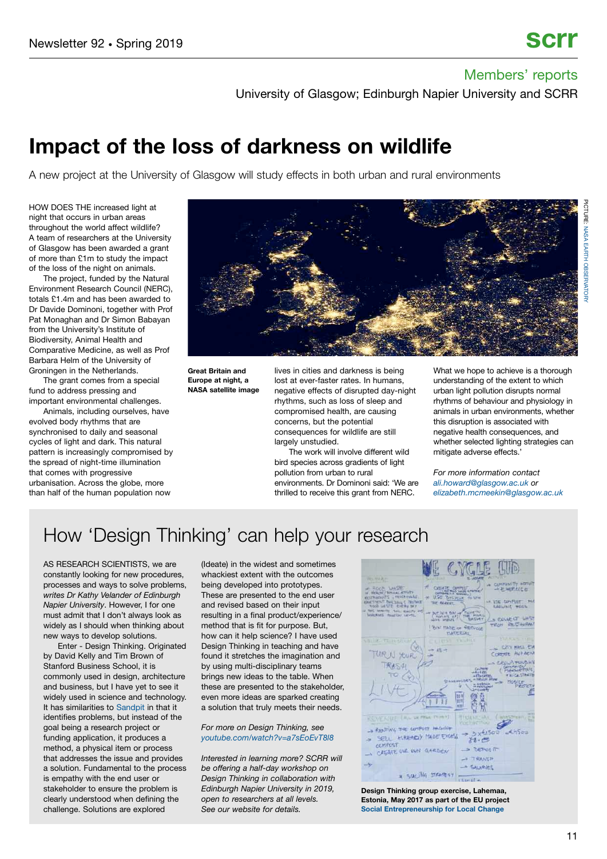University of Glasgow; Edinburgh Napier University and SCRR

# **Impact of the loss of darkness on wildlife**

A new project at the University of Glasgow will study effects in both urban and rural environments

HOW DOES THE increased light at night that occurs in urban areas throughout the world affect wildlife? A team of researchers at the University of Glasgow has been awarded a grant of more than £1m to study the impact of the loss of the night on animals.

The project, funded by the Natural Environment Research Council (NERC), totals £1.4m and has been awarded to Dr Davide Dominoni, together with Prof Pat Monaghan and Dr Simon Babayan from the University's Institute of Biodiversity, Animal Health and Comparative Medicine, as well as Prof Barbara Helm of the University of Groningen in the Netherlands.

The grant comes from a special fund to address pressing and important environmental challenges.

Animals, including ourselves, have evolved body rhythms that are synchronised to daily and seasonal cycles of light and dark. This natural pattern is increasingly compromised by the spread of night-time illumination that comes with progressive urbanisation. Across the globe, more than half of the human population now



**Great Britain and Europe at night, a NASA satellite image** lives in cities and darkness is being lost at ever-faster rates. In humans, negative effects of disrupted day-night rhythms, such as loss of sleep and compromised health, are causing concerns, but the potential consequences for wildlife are still largely unstudied.

The work will involve different wild bird species across gradients of light pollution from urban to rural environments. Dr Dominoni said: 'We are thrilled to receive this grant from NERC.

What we hope to achieve is a thorough understanding of the extent to which urban light pollution disrupts normal rhythms of behaviour and physiology in animals in urban environments, whether this disruption is associated with negative health consequences, and whether selected lighting strategies can mitigate adverse effects.

*For more information contact [ali.howard@glasgow.ac.uk](mailto:ali.howard@glasgow.ac.uk) or [elizabeth.mcmeekin@glasgow.ac.uk](mailto:elizabeth.mcmeekin@glasgow.ac.uk)*

# How 'Design Thinking' can help your research

AS RESEARCH SCIENTISTS, we are constantly looking for new procedures, processes and ways to solve problems, *writes Dr Kathy Velander of Edinburgh Napier University*. However, I for one must admit that I don't always look as widely as I should when thinking about new ways to develop solutions.

Enter - Design Thinking. Originated by David Kelly and Tim Brown of Stanford Business School, it is commonly used in design, architecture and business, but I have yet to see it widely used in science and technology. It has similarities to [Sandpit](https://epsrc.ukri.org/funding/applicationprocess/routes/network/ideas/whatisasandpit/) in that it identifies problems, but instead of the goal being a research project or funding application, it produces a method, a physical item or process that addresses the issue and provides a solution. Fundamental to the process is empathy with the end user or stakeholder to ensure the problem is clearly understood when defining the challenge. Solutions are explored

(Ideate) in the widest and sometimes whackiest extent with the outcomes being developed into prototypes. These are presented to the end user and revised based on their input resulting in a final product/experience/ method that is fit for purpose. But, how can it help science? I have used Design Thinking in teaching and have found it stretches the imagination and by using multi-disciplinary teams brings new ideas to the table. When these are presented to the stakeholder, even more ideas are sparked creating a solution that truly meets their needs.

#### *For more on Design Thinking, see [youtube.com/watch?v=a7sEoEvT8l8](https://www.youtube.com/watch?v=a7sEoEvT8l8)*

*Interested in learning more? SCRR will be offering a half-day workshop on Design Thinking in collaboration with Edinburgh Napier University in 2019, open to researchers at all levels. See our website for details.*



**Design Thinking group exercise, Lahemaa, Estonia, May 2017 as part of the EU project [Social Entrepreneurship for Local Change](https://localchangewiki.hfwu.de/index.php?title=Seminar_Social_Entrepreneurship_for_Local_Change_Spring_2018)**